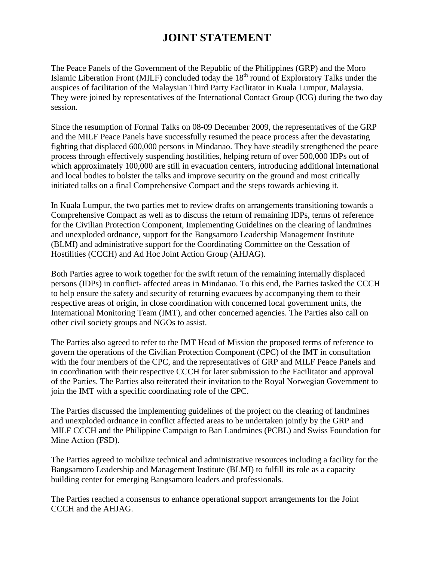## **JOINT STATEMENT**

The Peace Panels of the Government of the Republic of the Philippines (GRP) and the Moro Islamic Liberation Front (MILF) concluded today the  $18<sup>th</sup>$  round of Exploratory Talks under the auspices of facilitation of the Malaysian Third Party Facilitator in Kuala Lumpur, Malaysia. They were joined by representatives of the International Contact Group (ICG) during the two day session.

Since the resumption of Formal Talks on 08-09 December 2009, the representatives of the GRP and the MILF Peace Panels have successfully resumed the peace process after the devastating fighting that displaced 600,000 persons in Mindanao. They have steadily strengthened the peace process through effectively suspending hostilities, helping return of over 500,000 IDPs out of which approximately 100,000 are still in evacuation centers, introducing additional international and local bodies to bolster the talks and improve security on the ground and most critically initiated talks on a final Comprehensive Compact and the steps towards achieving it.

In Kuala Lumpur, the two parties met to review drafts on arrangements transitioning towards a Comprehensive Compact as well as to discuss the return of remaining IDPs, terms of reference for the Civilian Protection Component, Implementing Guidelines on the clearing of landmines and unexploded ordnance, support for the Bangsamoro Leadership Management Institute (BLMI) and administrative support for the Coordinating Committee on the Cessation of Hostilities (CCCH) and Ad Hoc Joint Action Group (AHJAG).

Both Parties agree to work together for the swift return of the remaining internally displaced persons (IDPs) in conflict- affected areas in Mindanao. To this end, the Parties tasked the CCCH to help ensure the safety and security of returning evacuees by accompanying them to their respective areas of origin, in close coordination with concerned local government units, the International Monitoring Team (IMT), and other concerned agencies. The Parties also call on other civil society groups and NGOs to assist.

The Parties also agreed to refer to the IMT Head of Mission the proposed terms of reference to govern the operations of the Civilian Protection Component (CPC) of the IMT in consultation with the four members of the CPC, and the representatives of GRP and MILF Peace Panels and in coordination with their respective CCCH for later submission to the Facilitator and approval of the Parties. The Parties also reiterated their invitation to the Royal Norwegian Government to join the IMT with a specific coordinating role of the CPC.

The Parties discussed the implementing guidelines of the project on the clearing of landmines and unexploded ordnance in conflict affected areas to be undertaken jointly by the GRP and MILF CCCH and the Philippine Campaign to Ban Landmines (PCBL) and Swiss Foundation for Mine Action (FSD).

The Parties agreed to mobilize technical and administrative resources including a facility for the Bangsamoro Leadership and Management Institute (BLMI) to fulfill its role as a capacity building center for emerging Bangsamoro leaders and professionals.

The Parties reached a consensus to enhance operational support arrangements for the Joint CCCH and the AHJAG.